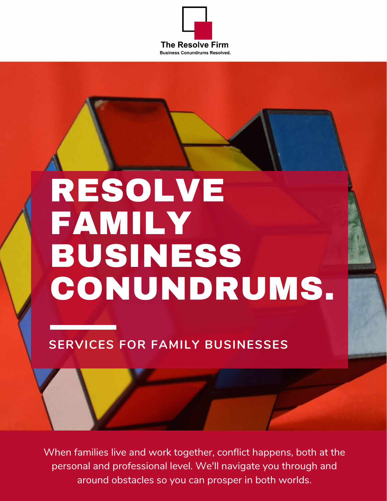

# RESOLVE FAMILY BUSINESS CONUNDRUMS.

#### **SERVICES FOR FAMILY BUSINESSES**

When families live and work together, conflict happens, both at the personal and professional level. We'll navigate you through and around obstacles so you can prosper in both worlds.